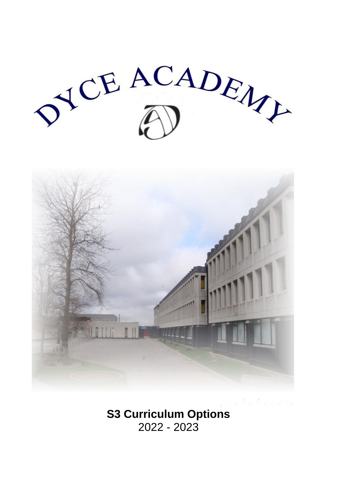JEACADEN



**S3 Curriculum Options** 2022 - 2023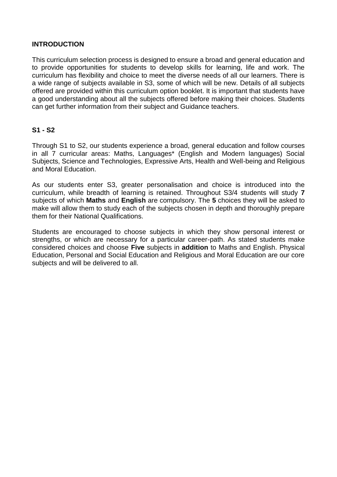# **INTRODUCTION**

This curriculum selection process is designed to ensure a broad and general education and to provide opportunities for students to develop skills for learning, life and work. The curriculum has flexibility and choice to meet the diverse needs of all our learners. There is a wide range of subjects available in S3, some of which will be new. Details of all subjects offered are provided within this curriculum option booklet. It is important that students have a good understanding about all the subjects offered before making their choices. Students can get further information from their subject and Guidance teachers.

# **S1 - S2**

Through S1 to S2, our students experience a broad, general education and follow courses in all 7 curricular areas: Maths, Languages\* (English and Modern languages) Social Subjects, Science and Technologies, Expressive Arts, Health and Well-being and Religious and Moral Education.

As our students enter S3, greater personalisation and choice is introduced into the curriculum, while breadth of learning is retained. Throughout S3/4 students will study **7** subjects of which **Maths** and **English** are compulsory. The **5** choices they will be asked to make will allow them to study each of the subjects chosen in depth and thoroughly prepare them for their National Qualifications.

Students are encouraged to choose subjects in which they show personal interest or strengths, or which are necessary for a particular career-path. As stated students make considered choices and choose **Five** subjects in **addition** to Maths and English. Physical Education, Personal and Social Education and Religious and Moral Education are our core subjects and will be delivered to all.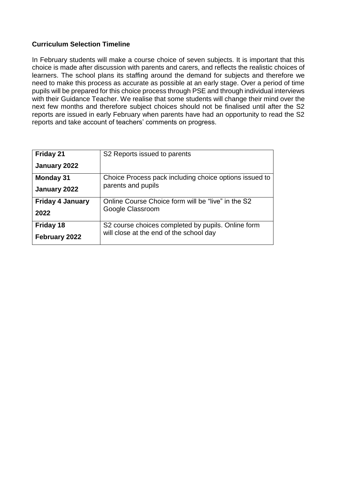# **Curriculum Selection Timeline**

In February students will make a course choice of seven subjects. It is important that this choice is made after discussion with parents and carers, and reflects the realistic choices of learners. The school plans its staffing around the demand for subjects and therefore we need to make this process as accurate as possible at an early stage. Over a period of time pupils will be prepared for this choice process through PSE and through individual interviews with their Guidance Teacher. We realise that some students will change their mind over the next few months and therefore subject choices should not be finalised until after the S2 reports are issued in early February when parents have had an opportunity to read the S2 reports and take account of teachers' comments on progress.

| <b>Friday 21</b>        | S <sub>2</sub> Reports issued to parents               |
|-------------------------|--------------------------------------------------------|
| January 2022            |                                                        |
| <b>Monday 31</b>        | Choice Process pack including choice options issued to |
| January 2022            | parents and pupils                                     |
| <b>Friday 4 January</b> | Online Course Choice form will be "live" in the S2     |
| 2022                    | Google Classroom                                       |
| Friday 18               | S2 course choices completed by pupils. Online form     |
| February 2022           | will close at the end of the school day                |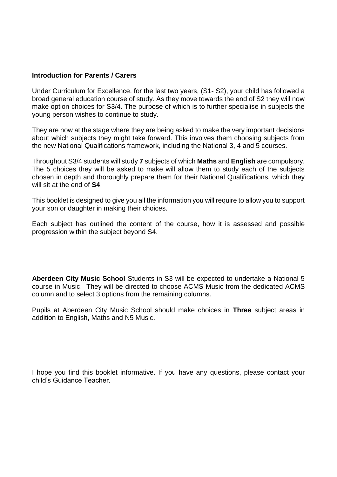#### **Introduction for Parents / Carers**

Under Curriculum for Excellence, for the last two years, (S1- S2), your child has followed a broad general education course of study. As they move towards the end of S2 they will now make option choices for S3/4. The purpose of which is to further specialise in subjects the young person wishes to continue to study.

They are now at the stage where they are being asked to make the very important decisions about which subjects they might take forward. This involves them choosing subjects from the new National Qualifications framework, including the National 3, 4 and 5 courses.

Throughout S3/4 students will study **7** subjects of which **Maths** and **English** are compulsory. The 5 choices they will be asked to make will allow them to study each of the subjects chosen in depth and thoroughly prepare them for their National Qualifications, which they will sit at the end of **S4**.

This booklet is designed to give you all the information you will require to allow you to support your son or daughter in making their choices.

Each subject has outlined the content of the course, how it is assessed and possible progression within the subject beyond S4.

**Aberdeen City Music School** Students in S3 will be expected to undertake a National 5 course in Music. They will be directed to choose ACMS Music from the dedicated ACMS column and to select 3 options from the remaining columns.

Pupils at Aberdeen City Music School should make choices in **Three** subject areas in addition to English, Maths and N5 Music.

I hope you find this booklet informative. If you have any questions, please contact your child's Guidance Teacher.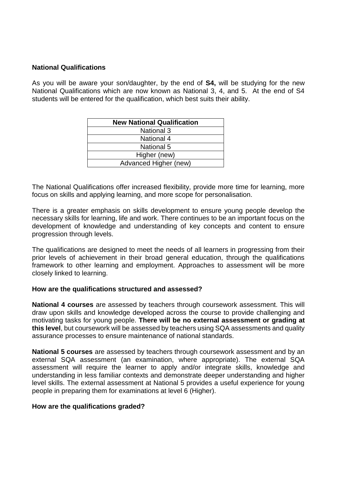## **National Qualifications**

As you will be aware your son/daughter, by the end of **S4,** will be studying for the new National Qualifications which are now known as National 3, 4, and 5. At the end of S4 students will be entered for the qualification, which best suits their ability.

| <b>New National Qualification</b> |  |
|-----------------------------------|--|
| <b>National 3</b>                 |  |
| <b>National 4</b>                 |  |
| National 5                        |  |
| Higher (new)                      |  |
| Advanced Higher (new)             |  |

The National Qualifications offer increased flexibility, provide more time for learning, more focus on skills and applying learning, and more scope for personalisation.

There is a greater emphasis on skills development to ensure young people develop the necessary skills for learning, life and work. There continues to be an important focus on the development of knowledge and understanding of key concepts and content to ensure progression through levels.

The qualifications are designed to meet the needs of all learners in progressing from their prior levels of achievement in their broad general education, through the qualifications framework to other learning and employment. Approaches to assessment will be more closely linked to learning.

#### **How are the qualifications structured and assessed?**

**National 4 courses** are assessed by teachers through coursework assessment. This will draw upon skills and knowledge developed across the course to provide challenging and motivating tasks for young people. **There will be no external assessment or grading at this level**, but coursework will be assessed by teachers using SQA assessments and quality assurance processes to ensure maintenance of national standards.

**National 5 courses** are assessed by teachers through coursework assessment and by an external SQA assessment (an examination, where appropriate). The external SQA assessment will require the learner to apply and/or integrate skills, knowledge and understanding in less familiar contexts and demonstrate deeper understanding and higher level skills. The external assessment at National 5 provides a useful experience for young people in preparing them for examinations at level 6 (Higher).

#### **How are the qualifications graded?**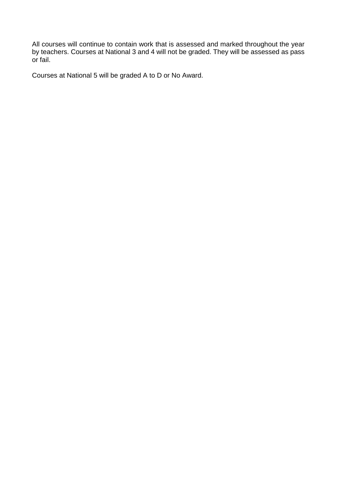All courses will continue to contain work that is assessed and marked throughout the year by teachers. Courses at National 3 and 4 will not be graded. They will be assessed as pass or fail.

Courses at National 5 will be graded A to D or No Award.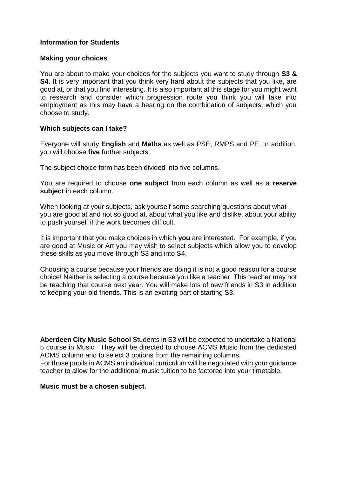# **Information for Students**

## **Making your choices**

You are about to make your choices for the subjects you want to study through **S3 & S4**. It is very important that you think very hard about the subjects that you like, are good at, or that you find interesting. It is also important at this stage for you might want to research and consider which progression route you think you will take into employment as this may have a bearing on the combination of subjects, which you choose to study.

## **Which subjects can I take?**

Everyone will study **English** and **Maths** as well as PSE, RMPS and PE. In addition, you will choose **five** further subjects.

The subject choice form has been divided into five columns.

You are required to choose **one subject** from each column as well as a **reserve subject** in each column.

When looking at your subjects, ask yourself some searching questions about what you are good at and not so good at, about what you like and dislike, about your ability to push yourself if the work becomes difficult.

It is important that you make choices in which **you** are interested. For example, if you are good at Music or Art you may wish to select subjects which allow you to develop these skills as you move through S3 and into S4.

Choosing a course because your friends are doing it is not a good reason for a course choice! Neither is selecting a course because you like a teacher. This teacher may not be teaching that course next year. You will make lots of new friends in S3 in addition to keeping your old friends. This is an exciting part of starting S3.

**Aberdeen City Music School** Students in S3 will be expected to undertake a National 5 course in Music. They will be directed to choose ACMS Music from the dedicated ACMS column and to select 3 options from the remaining columns. For those pupils in ACMS an individual curriculum will be negotiated with your guidance teacher to allow for the additional music tuition to be factored into your timetable.

#### **Music must be a chosen subject.**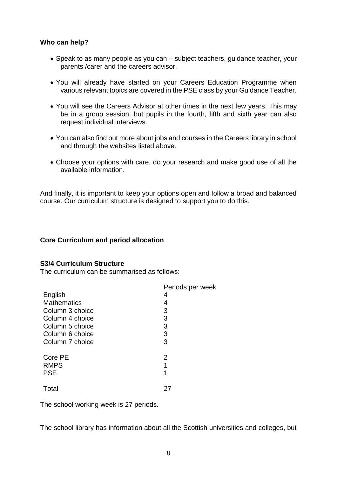# **Who can help?**

- Speak to as many people as you can subject teachers, guidance teacher, your parents /carer and the careers advisor.
- You will already have started on your Careers Education Programme when various relevant topics are covered in the PSE class by your Guidance Teacher.
- You will see the Careers Advisor at other times in the next few years. This may be in a group session, but pupils in the fourth, fifth and sixth year can also request individual interviews.
- You can also find out more about jobs and courses in the Careers library in school and through the websites listed above.
- Choose your options with care, do your research and make good use of all the available information.

And finally, it is important to keep your options open and follow a broad and balanced course. Our curriculum structure is designed to support you to do this.

## **Core Curriculum and period allocation**

#### **S3/4 Curriculum Structure**

The curriculum can be summarised as follows:

| Periods per week |
|------------------|
| 4                |
| 4                |
| 3                |
| 3                |
| 3                |
| 3                |
| 3                |
| 2                |
| 1                |
| 1                |
| 27               |
|                  |

The school working week is 27 periods.

The school library has information about all the Scottish universities and colleges, but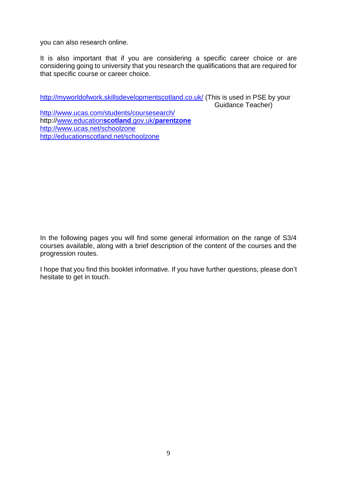you can also research online.

It is also important that if you are considering a specific career choice or are considering going to university that you research the qualifications that are required for that specific course or career choice.

<http://myworldofwork.skillsdevelopmentscotland.co.uk/> (This is used in PSE by your Guidance Teacher) <http://www.ucas.com/students/coursesearch/> http:/[/www.education](http://www.educationscotland.gov.uk/parentzone)**scotland**.gov.uk/**parentzone** <http://www.ucas.net/schoolzone> <http://educationscotland.net/schoolzone>

In the following pages you will find some general information on the range of S3/4 courses available, along with a brief description of the content of the courses and the progression routes.

I hope that you find this booklet informative. If you have further questions, please don't hesitate to get in touch.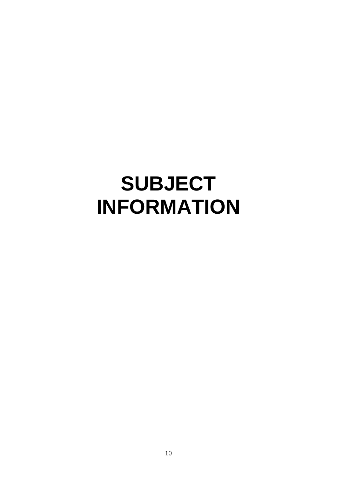# **SUBJECT INFORMATION**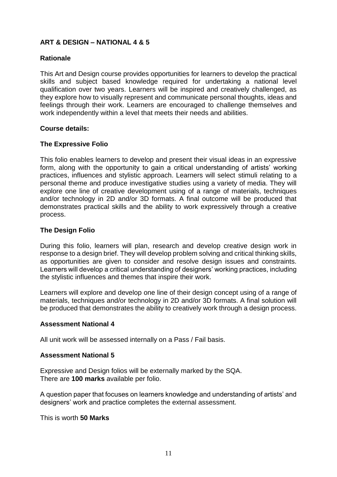# **ART & DESIGN – NATIONAL 4 & 5**

# **Rationale**

This Art and Design course provides opportunities for learners to develop the practical skills and subject based knowledge required for undertaking a national level qualification over two years. Learners will be inspired and creatively challenged, as they explore how to visually represent and communicate personal thoughts, ideas and feelings through their work. Learners are encouraged to challenge themselves and work independently within a level that meets their needs and abilities.

## **Course details:**

## **The Expressive Folio**

This folio enables learners to develop and present their visual ideas in an expressive form, along with the opportunity to gain a critical understanding of artists' working practices, influences and stylistic approach. Learners will select stimuli relating to a personal theme and produce investigative studies using a variety of media. They will explore one line of creative development using of a range of materials, techniques and/or technology in 2D and/or 3D formats. A final outcome will be produced that demonstrates practical skills and the ability to work expressively through a creative process.

## **The Design Folio**

During this folio, learners will plan, research and develop creative design work in response to a design brief. They will develop problem solving and critical thinking skills, as opportunities are given to consider and resolve design issues and constraints. Learners will develop a critical understanding of designers' working practices, including the stylistic influences and themes that inspire their work.

Learners will explore and develop one line of their design concept using of a range of materials, techniques and/or technology in 2D and/or 3D formats. A final solution will be produced that demonstrates the ability to creatively work through a design process.

## **Assessment National 4**

All unit work will be assessed internally on a Pass / Fail basis.

## **Assessment National 5**

Expressive and Design folios will be externally marked by the SQA. There are **100 marks** available per folio.

A question paper that focuses on learners knowledge and understanding of artists' and designers' work and practice completes the external assessment.

This is worth **50 Marks**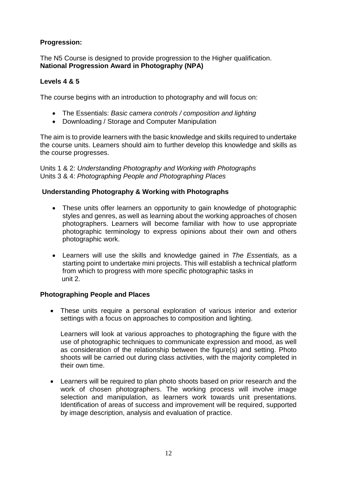# **Progression:**

The N5 Course is designed to provide progression to the Higher qualification. **National Progression Award in Photography (NPA)** 

# **Levels 4 & 5**

The course begins with an introduction to photography and will focus on:

- The Essentials: *Basic camera controls / composition and lighting*
- Downloading / Storage and Computer Manipulation

The aim is to provide learners with the basic knowledge and skills required to undertake the course units. Learners should aim to further develop this knowledge and skills as the course progresses.

Units 1 & 2: *Understanding Photography and Working with Photographs* Units 3 & 4: *Photographing People and Photographing Places* 

## **Understanding Photography & Working with Photographs**

- These units offer learners an opportunity to gain knowledge of photographic styles and genres, as well as learning about the working approaches of chosen photographers. Learners will become familiar with how to use appropriate photographic terminology to express opinions about their own and others photographic work.
- Learners will use the skills and knowledge gained in *The Essentials,* as a starting point to undertake mini projects. This will establish a technical platform from which to progress with more specific photographic tasks in unit 2.

## **Photographing People and Places**

 These units require a personal exploration of various interior and exterior settings with a focus on approaches to composition and lighting.

Learners will look at various approaches to photographing the figure with the use of photographic techniques to communicate expression and mood, as well as consideration of the relationship between the figure(s) and setting. Photo shoots will be carried out during class activities, with the majority completed in their own time.

 Learners will be required to plan photo shoots based on prior research and the work of chosen photographers. The working process will involve image selection and manipulation, as learners work towards unit presentations. Identification of areas of success and improvement will be required, supported by image description, analysis and evaluation of practice.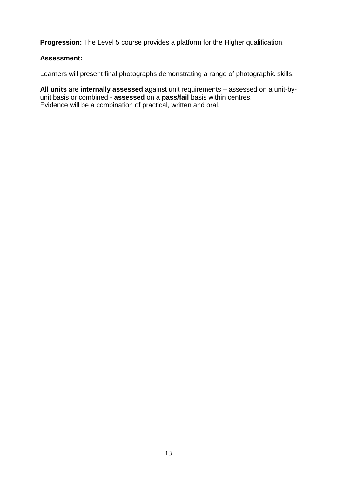**Progression:** The Level 5 course provides a platform for the Higher qualification.

# **Assessment:**

Learners will present final photographs demonstrating a range of photographic skills.

**All units** are **internally assessed** against unit requirements – assessed on a unit-byunit basis or combined - **assessed** on a **pass/fail** basis within centres. Evidence will be a combination of practical, written and oral.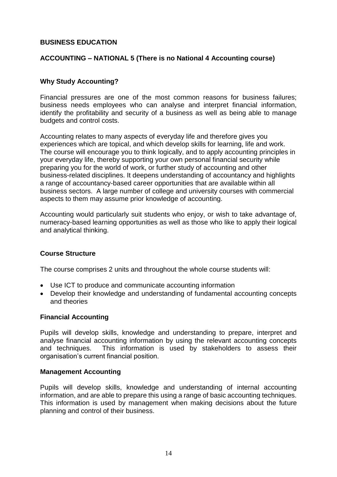# **BUSINESS EDUCATION**

# **ACCOUNTING – NATIONAL 5 (There is no National 4 Accounting course)**

# **Why Study Accounting?**

Financial pressures are one of the most common reasons for business failures; business needs employees who can analyse and interpret financial information, identify the profitability and security of a business as well as being able to manage budgets and control costs.

Accounting relates to many aspects of everyday life and therefore gives you experiences which are topical, and which develop skills for learning, life and work. The course will encourage you to think logically, and to apply accounting principles in your everyday life, thereby supporting your own personal financial security while preparing you for the world of work, or further study of accounting and other business-related disciplines. It deepens understanding of accountancy and highlights a range of accountancy-based career opportunities that are available within all business sectors. A large number of college and university courses with commercial aspects to them may assume prior knowledge of accounting.

Accounting would particularly suit students who enjoy, or wish to take advantage of, numeracy-based learning opportunities as well as those who like to apply their logical and analytical thinking.

# **Course Structure**

The course comprises 2 units and throughout the whole course students will:

- Use ICT to produce and communicate accounting information
- Develop their knowledge and understanding of fundamental accounting concepts and theories

## **Financial Accounting**

Pupils will develop skills, knowledge and understanding to prepare, interpret and analyse financial accounting information by using the relevant accounting concepts and techniques. This information is used by stakeholders to assess their organisation's current financial position.

## **Management Accounting**

Pupils will develop skills, knowledge and understanding of internal accounting information, and are able to prepare this using a range of basic accounting techniques. This information is used by management when making decisions about the future planning and control of their business.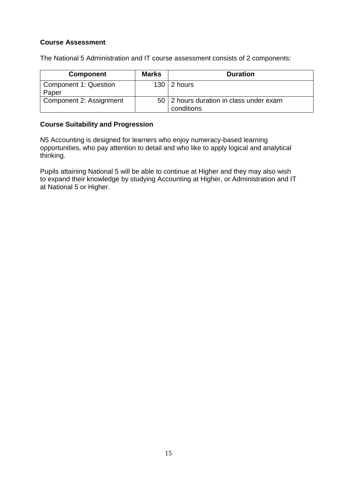# **Course Assessment**

The National 5 Administration and IT course assessment consists of 2 components:

| <b>Component</b>               | <b>Marks</b> | <b>Duration</b>                                         |
|--------------------------------|--------------|---------------------------------------------------------|
| Component 1: Question<br>Paper |              | $130 \mid 2 \text{ hours}$                              |
| Component 2: Assignment        |              | 50   2 hours duration in class under exam<br>conditions |

# **Course Suitability and Progression**

N5 Accounting is designed for learners who enjoy numeracy-based learning opportunities, who pay attention to detail and who like to apply logical and analytical thinking.

Pupils attaining National 5 will be able to continue at Higher and they may also wish to expand their knowledge by studying Accounting at Higher, or Administration and IT at National 5 or Higher.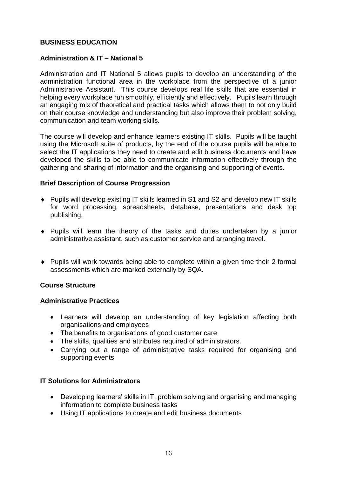# **BUSINESS EDUCATION**

# **Administration & IT – National 5**

Administration and IT National 5 allows pupils to develop an understanding of the administration functional area in the workplace from the perspective of a junior Administrative Assistant. This course develops real life skills that are essential in helping every workplace run smoothly, efficiently and effectively. Pupils learn through an engaging mix of theoretical and practical tasks which allows them to not only build on their course knowledge and understanding but also improve their problem solving, communication and team working skills.

The course will develop and enhance learners existing IT skills. Pupils will be taught using the Microsoft suite of products, by the end of the course pupils will be able to select the IT applications they need to create and edit business documents and have developed the skills to be able to communicate information effectively through the gathering and sharing of information and the organising and supporting of events.

## **Brief Description of Course Progression**

- Pupils will develop existing IT skills learned in S1 and S2 and develop new IT skills for word processing, spreadsheets, database, presentations and desk top publishing.
- Pupils will learn the theory of the tasks and duties undertaken by a junior administrative assistant, such as customer service and arranging travel.
- Pupils will work towards being able to complete within a given time their 2 formal assessments which are marked externally by SQA.

## **Course Structure**

## **Administrative Practices**

- Learners will develop an understanding of key legislation affecting both organisations and employees
- The benefits to organisations of good customer care
- The skills, qualities and attributes required of administrators.
- Carrying out a range of administrative tasks required for organising and supporting events

## **IT Solutions for Administrators**

- Developing learners' skills in IT, problem solving and organising and managing information to complete business tasks
- Using IT applications to create and edit business documents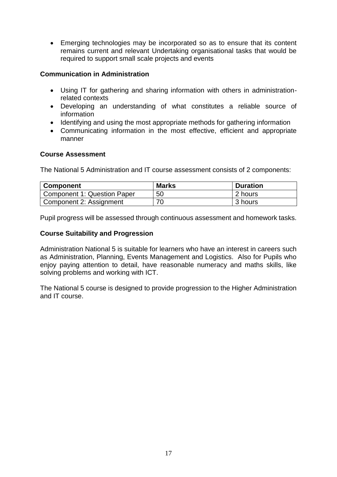Emerging technologies may be incorporated so as to ensure that its content remains current and relevant Undertaking organisational tasks that would be required to support small scale projects and events

# **Communication in Administration**

- Using IT for gathering and sharing information with others in administrationrelated contexts
- Developing an understanding of what constitutes a reliable source of information
- Identifying and using the most appropriate methods for gathering information
- Communicating information in the most effective, efficient and appropriate manner

## **Course Assessment**

The National 5 Administration and IT course assessment consists of 2 components:

| <b>Component</b>            | <b>Marks</b> | <b>Duration</b> |
|-----------------------------|--------------|-----------------|
| Component 1: Question Paper | 50           | 2 hours         |
| Component 2: Assignment     | 70           | 3 hours         |

Pupil progress will be assessed through continuous assessment and homework tasks.

## **Course Suitability and Progression**

Administration National 5 is suitable for learners who have an interest in careers such as Administration, Planning, Events Management and Logistics. Also for Pupils who enjoy paying attention to detail, have reasonable numeracy and maths skills, like solving problems and working with ICT.

The National 5 course is designed to provide progression to the Higher Administration and IT course.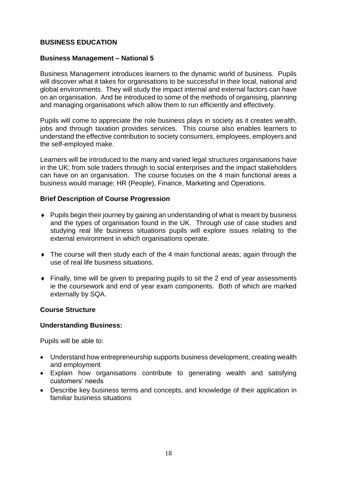# **BUSINESS EDUCATION**

## **Business Management – National 5**

Business Management introduces learners to the dynamic world of business. Pupils will discover what it takes for organisations to be successful in their local, national and global environments. They will study the impact internal and external factors can have on an organisation. And be introduced to some of the methods of organising, planning and managing organisations which allow them to run efficiently and effectively.

Pupils will come to appreciate the role business plays in society as it creates wealth, jobs and through taxation provides services. This course also enables learners to understand the effective contribution to society consumers, employees, employers and the self-employed make.

Learners will be introduced to the many and varied legal structures organisations have in the UK; from sole traders through to social enterprises and the impact stakeholders can have on an organisation. The course focuses on the 4 main functional areas a business would manage; HR (People), Finance, Marketing and Operations.

## **Brief Description of Course Progression**

- Pupils begin their journey by gaining an understanding of what is meant by business and the types of organisation found in the UK. Through use of case studies and studying real life business situations pupils will explore issues relating to the external environment in which organisations operate.
- The course will then study each of the 4 main functional areas; again through the use of real life business situations.
- Finally, time will be given to preparing pupils to sit the 2 end of year assessments ie the coursework and end of year exam components. Both of which are marked externally by SQA.

# **Course Structure**

## **Understanding Business:**

Pupils will be able to:

- Understand how entrepreneurship supports business development, creating wealth and employment
- Explain how organisations contribute to generating wealth and satisfying customers' needs
- Describe key business terms and concepts, and knowledge of their application in familiar business situations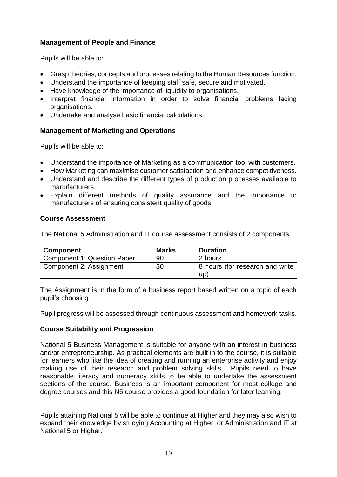# **Management of People and Finance**

Pupils will be able to:

- Grasp theories, concepts and processes relating to the Human Resources function.
- Understand the importance of keeping staff safe, secure and motivated.
- Have knowledge of the importance of liquidity to organisations.
- Interpret financial information in order to solve financial problems facing organisations.
- Undertake and analyse basic financial calculations.

## **Management of Marketing and Operations**

Pupils will be able to:

- Understand the importance of Marketing as a communication tool with customers.
- How Marketing can maximise customer satisfaction and enhance competitiveness.
- Understand and describe the different types of production processes available to manufacturers.
- Explain different methods of quality assurance and the importance to manufacturers of ensuring consistent quality of goods.

## **Course Assessment**

The National 5 Administration and IT course assessment consists of 2 components:

| <b>Component</b>                   | <b>Marks</b> | <b>Duration</b>                        |
|------------------------------------|--------------|----------------------------------------|
| <b>Component 1: Question Paper</b> | 90           | 2 hours                                |
| Component 2: Assignment            | 30           | 8 hours (for research and write<br>up) |

The Assignment is in the form of a business report based written on a topic of each pupil's choosing.

Pupil progress will be assessed through continuous assessment and homework tasks.

## **Course Suitability and Progression**

National 5 Business Management is suitable for anyone with an interest in business and/or entrepreneurship. As practical elements are built in to the course, it is suitable for learners who like the idea of creating and running an enterprise activity and enjoy making use of their research and problem solving skills. Pupils need to have reasonable literacy and numeracy skills to be able to undertake the assessment sections of the course. Business is an important component for most college and degree courses and this N5 course provides a good foundation for later learning.

Pupils attaining National 5 will be able to continue at Higher and they may also wish to expand their knowledge by studying Accounting at Higher, or Administration and IT at National 5 or Higher.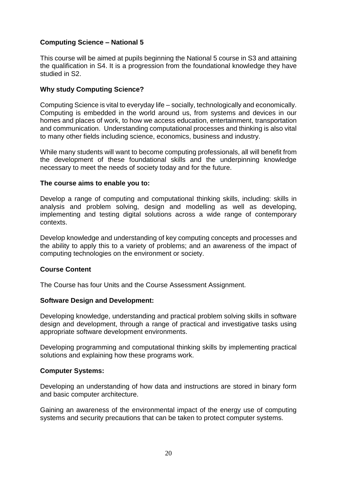# **Computing Science – National 5**

This course will be aimed at pupils beginning the National 5 course in S3 and attaining the qualification in S4. It is a progression from the foundational knowledge they have studied in S2.

# **Why study Computing Science?**

Computing Science is vital to everyday life – socially, technologically and economically. Computing is embedded in the world around us, from systems and devices in our homes and places of work, to how we access education, entertainment, transportation and communication. Understanding computational processes and thinking is also vital to many other fields including science, economics, business and industry.

While many students will want to become computing professionals, all will benefit from the development of these foundational skills and the underpinning knowledge necessary to meet the needs of society today and for the future.

## **The course aims to enable you to:**

Develop a range of computing and computational thinking skills, including: skills in analysis and problem solving, design and modelling as well as developing, implementing and testing digital solutions across a wide range of contemporary contexts.

Develop knowledge and understanding of key computing concepts and processes and the ability to apply this to a variety of problems; and an awareness of the impact of computing technologies on the environment or society.

## **Course Content**

The Course has four Units and the Course Assessment Assignment.

## **Software Design and Development:**

Developing knowledge, understanding and practical problem solving skills in software design and development, through a range of practical and investigative tasks using appropriate software development environments.

Developing programming and computational thinking skills by implementing practical solutions and explaining how these programs work.

## **Computer Systems:**

Developing an understanding of how data and instructions are stored in binary form and basic computer architecture.

Gaining an awareness of the environmental impact of the energy use of computing systems and security precautions that can be taken to protect computer systems.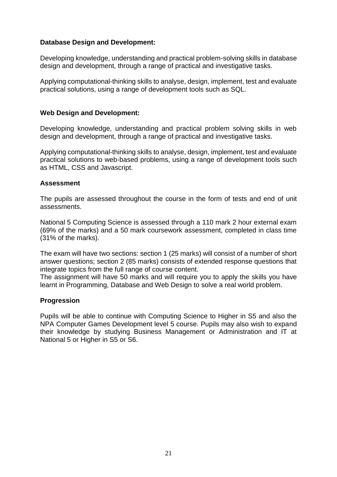# **Database Design and Development:**

Developing knowledge, understanding and practical problem-solving skills in database design and development, through a range of practical and investigative tasks.

Applying computational-thinking skills to analyse, design, implement, test and evaluate practical solutions, using a range of development tools such as SQL.

## **Web Design and Development:**

Developing knowledge, understanding and practical problem solving skills in web design and development, through a range of practical and investigative tasks.

Applying computational-thinking skills to analyse, design, implement, test and evaluate practical solutions to web-based problems, using a range of development tools such as HTML, CSS and Javascript.

#### **Assessment**

The pupils are assessed throughout the course in the form of tests and end of unit assessments.

National 5 Computing Science is assessed through a 110 mark 2 hour external exam (69% of the marks) and a 50 mark coursework assessment, completed in class time (31% of the marks).

The exam will have two sections: section 1 (25 marks) will consist of a number of short answer questions; section 2 (85 marks) consists of extended response questions that integrate topics from the full range of course content.

The assignment will have 50 marks and will require you to apply the skills you have learnt in Programming, Database and Web Design to solve a real world problem.

## **Progression**

Pupils will be able to continue with Computing Science to Higher in S5 and also the NPA Computer Games Development level 5 course. Pupils may also wish to expand their knowledge by studying Business Management or Administration and IT at National 5 or Higher in S5 or S6.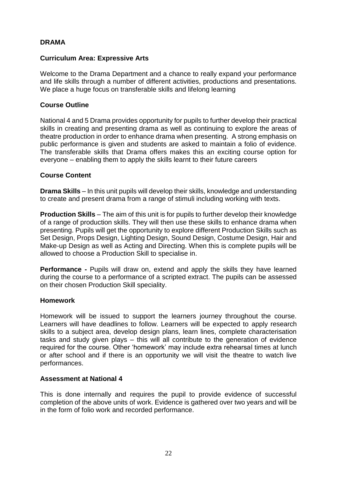# **DRAMA**

## **Curriculum Area: Expressive Arts**

Welcome to the Drama Department and a chance to really expand your performance and life skills through a number of different activities, productions and presentations. We place a huge focus on transferable skills and lifelong learning

## **Course Outline**

National 4 and 5 Drama provides opportunity for pupils to further develop their practical skills in creating and presenting drama as well as continuing to explore the areas of theatre production in order to enhance drama when presenting. A strong emphasis on public performance is given and students are asked to maintain a folio of evidence. The transferable skills that Drama offers makes this an exciting course option for everyone – enabling them to apply the skills learnt to their future careers

## **Course Content**

**Drama Skills** – In this unit pupils will develop their skills, knowledge and understanding to create and present drama from a range of stimuli including working with texts.

**Production Skills** – The aim of this unit is for pupils to further develop their knowledge of a range of production skills. They will then use these skills to enhance drama when presenting. Pupils will get the opportunity to explore different Production Skills such as Set Design, Props Design, Lighting Design, Sound Design, Costume Design, Hair and Make-up Design as well as Acting and Directing. When this is complete pupils will be allowed to choose a Production Skill to specialise in.

**Performance -** Pupils will draw on, extend and apply the skills they have learned during the course to a performance of a scripted extract. The pupils can be assessed on their chosen Production Skill speciality.

## **Homework**

Homework will be issued to support the learners journey throughout the course. Learners will have deadlines to follow. Learners will be expected to apply research skills to a subject area, develop design plans, learn lines, complete characterisation tasks and study given plays – this will all contribute to the generation of evidence required for the course. Other 'homework' may include extra rehearsal times at lunch or after school and if there is an opportunity we will visit the theatre to watch live performances.

## **Assessment at National 4**

This is done internally and requires the pupil to provide evidence of successful completion of the above units of work. Evidence is gathered over two years and will be in the form of folio work and recorded performance.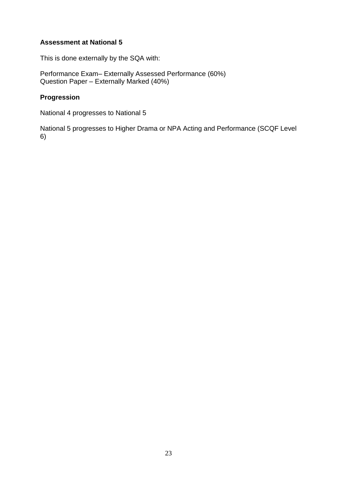# **Assessment at National 5**

This is done externally by the SQA with:

Performance Exam– Externally Assessed Performance (60%) Question Paper – Externally Marked (40%)

# **Progression**

National 4 progresses to National 5

National 5 progresses to Higher Drama or NPA Acting and Performance (SCQF Level 6)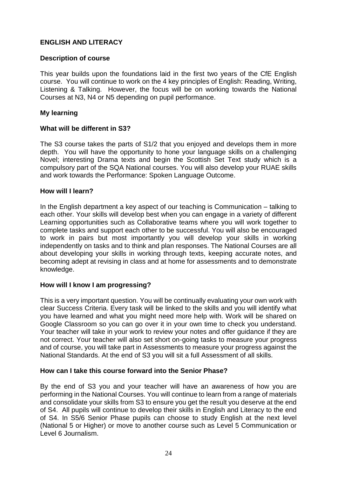# **ENGLISH AND LITERACY**

## **Description of course**

This year builds upon the foundations laid in the first two years of the CfE English course. You will continue to work on the 4 key principles of English: Reading, Writing, Listening & Talking. However, the focus will be on working towards the National Courses at N3, N4 or N5 depending on pupil performance.

## **My learning**

## **What will be different in S3?**

The S3 course takes the parts of S1/2 that you enjoyed and develops them in more depth. You will have the opportunity to hone your language skills on a challenging Novel; interesting Drama texts and begin the Scottish Set Text study which is a compulsory part of the SQA National courses. You will also develop your RUAE skills and work towards the Performance: Spoken Language Outcome.

## **How will I learn?**

In the English department a key aspect of our teaching is Communication – talking to each other. Your skills will develop best when you can engage in a variety of different Learning opportunities such as Collaborative teams where you will work together to complete tasks and support each other to be successful. You will also be encouraged to work in pairs but most importantly you will develop your skills in working independently on tasks and to think and plan responses. The National Courses are all about developing your skills in working through texts, keeping accurate notes, and becoming adept at revising in class and at home for assessments and to demonstrate knowledge.

## **How will I know I am progressing?**

This is a very important question. You will be continually evaluating your own work with clear Success Criteria. Every task will be linked to the skills and you will identify what you have learned and what you might need more help with. Work will be shared on Google Classroom so you can go over it in your own time to check you understand. Your teacher will take in your work to review your notes and offer guidance if they are not correct. Your teacher will also set short on-going tasks to measure your progress and of course, you will take part in Assessments to measure your progress against the National Standards. At the end of S3 you will sit a full Assessment of all skills.

## **How can I take this course forward into the Senior Phase?**

By the end of S3 you and your teacher will have an awareness of how you are performing in the National Courses. You will continue to learn from a range of materials and consolidate your skills from S3 to ensure you get the result you deserve at the end of S4. All pupils will continue to develop their skills in English and Literacy to the end of S4. In S5/6 Senior Phase pupils can choose to study English at the next level (National 5 or Higher) or move to another course such as Level 5 Communication or Level 6 Journalism.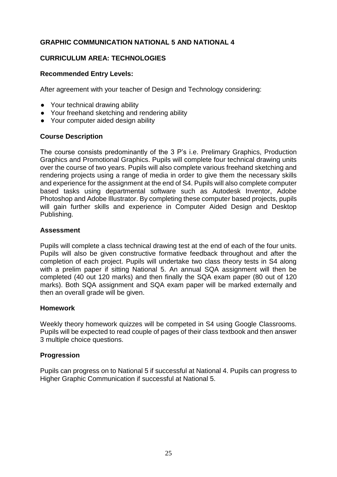# **GRAPHIC COMMUNICATION NATIONAL 5 AND NATIONAL 4**

# **CURRICULUM AREA: TECHNOLOGIES**

# **Recommended Entry Levels:**

After agreement with your teacher of Design and Technology considering:

- Your technical drawing ability
- Your freehand sketching and rendering ability
- Your computer aided design ability

## **Course Description**

The course consists predominantly of the 3 P's i.e. Prelimary Graphics, Production Graphics and Promotional Graphics. Pupils will complete four technical drawing units over the course of two years. Pupils will also complete various freehand sketching and rendering projects using a range of media in order to give them the necessary skills and experience for the assignment at the end of S4. Pupils will also complete computer based tasks using departmental software such as Autodesk Inventor, Adobe Photoshop and Adobe Illustrator. By completing these computer based projects, pupils will gain further skills and experience in Computer Aided Design and Desktop Publishing.

## **Assessment**

Pupils will complete a class technical drawing test at the end of each of the four units. Pupils will also be given constructive formative feedback throughout and after the completion of each project. Pupils will undertake two class theory tests in S4 along with a prelim paper if sitting National 5. An annual SQA assignment will then be completed (40 out 120 marks) and then finally the SQA exam paper (80 out of 120 marks). Both SQA assignment and SQA exam paper will be marked externally and then an overall grade will be given.

## **Homework**

Weekly theory homework quizzes will be competed in S4 using Google Classrooms. Pupils will be expected to read couple of pages of their class textbook and then answer 3 multiple choice questions.

# **Progression**

Pupils can progress on to National 5 if successful at National 4. Pupils can progress to Higher Graphic Communication if successful at National 5.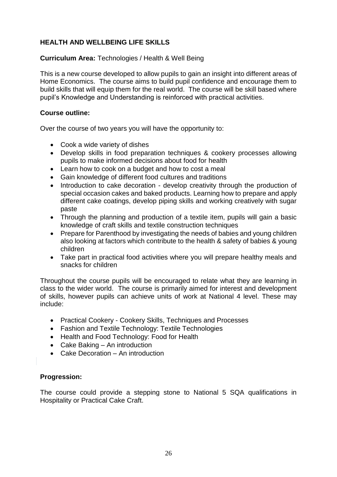# **HEALTH AND WELLBEING LIFE SKILLS**

# **Curriculum Area:** Technologies / Health & Well Being

This is a new course developed to allow pupils to gain an insight into different areas of Home Economics. The course aims to build pupil confidence and encourage them to build skills that will equip them for the real world. The course will be skill based where pupil's Knowledge and Understanding is reinforced with practical activities.

# **Course outline:**

Over the course of two years you will have the opportunity to:

- Cook a wide variety of dishes
- Develop skills in food preparation techniques & cookery processes allowing pupils to make informed decisions about food for health
- Learn how to cook on a budget and how to cost a meal
- Gain knowledge of different food cultures and traditions
- Introduction to cake decoration develop creativity through the production of special occasion cakes and baked products. Learning how to prepare and apply different cake coatings, develop piping skills and working creatively with sugar paste
- Through the planning and production of a textile item, pupils will gain a basic knowledge of craft skills and textile construction techniques
- Prepare for Parenthood by investigating the needs of babies and young children also looking at factors which contribute to the health & safety of babies & young children
- Take part in practical food activities where you will prepare healthy meals and snacks for children

Throughout the course pupils will be encouraged to relate what they are learning in class to the wider world. The course is primarily aimed for interest and development of skills, however pupils can achieve units of work at National 4 level. These may include:

- Practical Cookery Cookery Skills, Techniques and Processes
- Fashion and Textile Technology: Textile Technologies
- Health and Food Technology: Food for Health
- Cake Baking An introduction
- Cake Decoration An introduction

# **Progression:**

The course could provide a stepping stone to National 5 SQA qualifications in Hospitality or Practical Cake Craft.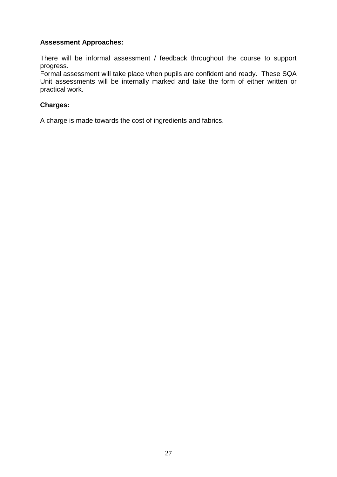# **Assessment Approaches:**

There will be informal assessment / feedback throughout the course to support progress.

Formal assessment will take place when pupils are confident and ready. These SQA Unit assessments will be internally marked and take the form of either written or practical work.

# **Charges:**

A charge is made towards the cost of ingredients and fabrics.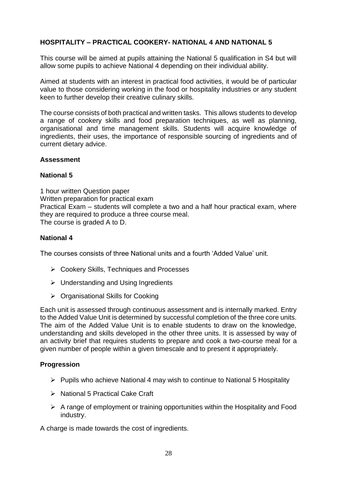# **HOSPITALITY – PRACTICAL COOKERY- NATIONAL 4 AND NATIONAL 5**

This course will be aimed at pupils attaining the National 5 qualification in S4 but will allow some pupils to achieve National 4 depending on their individual ability.

Aimed at students with an interest in practical food activities, it would be of particular value to those considering working in the food or hospitality industries or any student keen to further develop their creative culinary skills.

The course consists of both practical and written tasks. This allows students to develop a range of cookery skills and food preparation techniques, as well as planning, organisational and time management skills. Students will acquire knowledge of ingredients, their uses, the importance of responsible sourcing of ingredients and of current dietary advice.

#### **Assessment**

## **National 5**

1 hour written Question paper Written preparation for practical exam Practical Exam – students will complete a two and a half hour practical exam, where they are required to produce a three course meal. The course is graded A to D.

## **National 4**

The courses consists of three National units and a fourth 'Added Value' unit.

- Cookery Skills, Techniques and Processes
- $\triangleright$  Understanding and Using Ingredients
- $\triangleright$  Organisational Skills for Cooking

Each unit is assessed through continuous assessment and is internally marked. Entry to the Added Value Unit is determined by successful completion of the three core units. The aim of the Added Value Unit is to enable students to draw on the knowledge, understanding and skills developed in the other three units. It is assessed by way of an activity brief that requires students to prepare and cook a two-course meal for a given number of people within a given timescale and to present it appropriately.

## **Progression**

- $\triangleright$  Pupils who achieve National 4 may wish to continue to National 5 Hospitality
- ▶ National 5 Practical Cake Craft
- $\triangleright$  A range of employment or training opportunities within the Hospitality and Food industry.

A charge is made towards the cost of ingredients.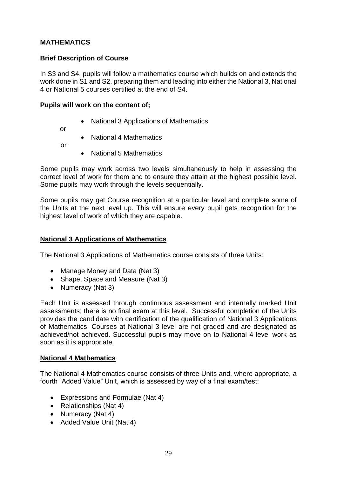# **MATHEMATICS**

# **Brief Description of Course**

In S3 and S4, pupils will follow a mathematics course which builds on and extends the work done in S1 and S2, preparing them and leading into either the National 3, National 4 or National 5 courses certified at the end of S4.

## **Pupils will work on the content of;**

- National 3 Applications of Mathematics
- or
- National 4 Mathematics
- or
- National 5 Mathematics

Some pupils may work across two levels simultaneously to help in assessing the correct level of work for them and to ensure they attain at the highest possible level. Some pupils may work through the levels sequentially.

Some pupils may get Course recognition at a particular level and complete some of the Units at the next level up. This will ensure every pupil gets recognition for the highest level of work of which they are capable.

## **National 3 Applications of Mathematics**

The National 3 Applications of Mathematics course consists of three Units:

- Manage Money and Data (Nat 3)
- Shape, Space and Measure (Nat 3)
- Numeracy (Nat 3)

Each Unit is assessed through continuous assessment and internally marked Unit assessments; there is no final exam at this level. Successful completion of the Units provides the candidate with certification of the qualification of National 3 Applications of Mathematics. Courses at National 3 level are not graded and are designated as achieved/not achieved. Successful pupils may move on to National 4 level work as soon as it is appropriate.

## **National 4 Mathematics**

The National 4 Mathematics course consists of three Units and, where appropriate, a fourth "Added Value" Unit, which is assessed by way of a final exam/test:

- Expressions and Formulae (Nat 4)
- Relationships (Nat 4)
- Numeracy (Nat 4)
- Added Value Unit (Nat 4)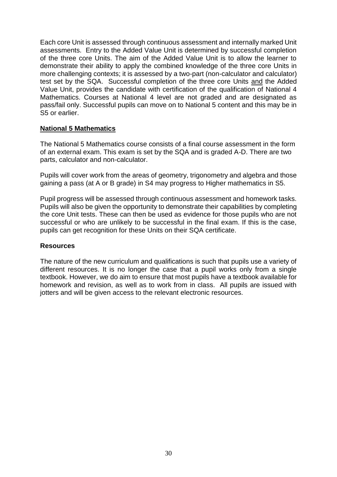Each core Unit is assessed through continuous assessment and internally marked Unit assessments. Entry to the Added Value Unit is determined by successful completion of the three core Units. The aim of the Added Value Unit is to allow the learner to demonstrate their ability to apply the combined knowledge of the three core Units in more challenging contexts; it is assessed by a two-part (non-calculator and calculator) test set by the SQA. Successful completion of the three core Units and the Added Value Unit, provides the candidate with certification of the qualification of National 4 Mathematics. Courses at National 4 level are not graded and are designated as pass/fail only. Successful pupils can move on to National 5 content and this may be in S5 or earlier.

## **National 5 Mathematics**

The National 5 Mathematics course consists of a final course assessment in the form of an external exam. This exam is set by the SQA and is graded A-D. There are two parts, calculator and non-calculator.

Pupils will cover work from the areas of geometry, trigonometry and algebra and those gaining a pass (at A or B grade) in S4 may progress to Higher mathematics in S5.

Pupil progress will be assessed through continuous assessment and homework tasks. Pupils will also be given the opportunity to demonstrate their capabilities by completing the core Unit tests. These can then be used as evidence for those pupils who are not successful or who are unlikely to be successful in the final exam. If this is the case, pupils can get recognition for these Units on their SQA certificate.

## **Resources**

The nature of the new curriculum and qualifications is such that pupils use a variety of different resources. It is no longer the case that a pupil works only from a single textbook. However, we do aim to ensure that most pupils have a textbook available for homework and revision, as well as to work from in class. All pupils are issued with jotters and will be given access to the relevant electronic resources.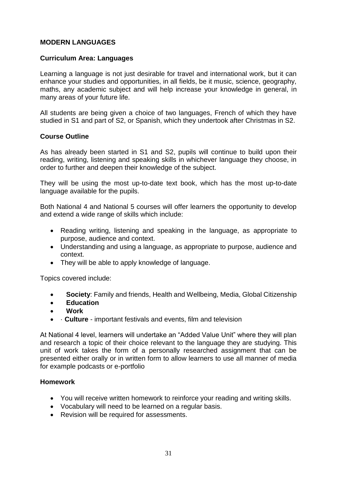# **MODERN LANGUAGES**

## **Curriculum Area: Languages**

Learning a language is not just desirable for travel and international work, but it can enhance your studies and opportunities, in all fields, be it music, science, geography, maths, any academic subject and will help increase your knowledge in general, in many areas of your future life.

All students are being given a choice of two languages, French of which they have studied in S1 and part of S2, or Spanish, which they undertook after Christmas in S2.

## **Course Outline**

As has already been started in S1 and S2, pupils will continue to build upon their reading, writing, listening and speaking skills in whichever language they choose, in order to further and deepen their knowledge of the subject.

They will be using the most up-to-date text book, which has the most up-to-date language available for the pupils.

Both National 4 and National 5 courses will offer learners the opportunity to develop and extend a wide range of skills which include:

- Reading writing, listening and speaking in the language, as appropriate to purpose, audience and context.
- Understanding and using a language, as appropriate to purpose, audience and context.
- They will be able to apply knowledge of language.

Topics covered include:

- **Society**: Family and friends, Health and Wellbeing, Media, Global Citizenship
- **Education**
- **Work**
- · **Culture** important festivals and events, film and television

At National 4 level, learners will undertake an "Added Value Unit" where they will plan and research a topic of their choice relevant to the language they are studying. This unit of work takes the form of a personally researched assignment that can be presented either orally or in written form to allow learners to use all manner of media for example podcasts or e-portfolio

## **Homework**

- You will receive written homework to reinforce your reading and writing skills.
- Vocabulary will need to be learned on a regular basis.
- Revision will be required for assessments.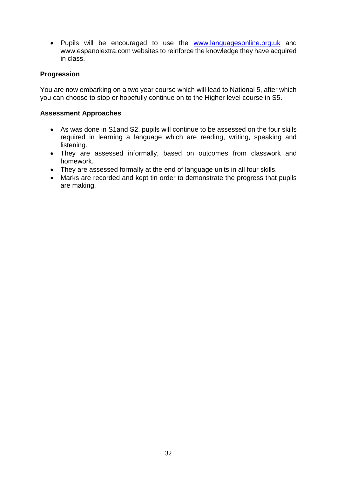• Pupils will be encouraged to use the www.languagesonline.org.uk and www.espanolextra.com websites to reinforce the knowledge they have acquired in class.

# **Progression**

You are now embarking on a two year course which will lead to National 5, after which you can choose to stop or hopefully continue on to the Higher level course in S5.

## **Assessment Approaches**

- As was done in S1and S2, pupils will continue to be assessed on the four skills required in learning a language which are reading, writing, speaking and listening.
- They are assessed informally, based on outcomes from classwork and homework.
- They are assessed formally at the end of language units in all four skills.
- Marks are recorded and kept tin order to demonstrate the progress that pupils are making.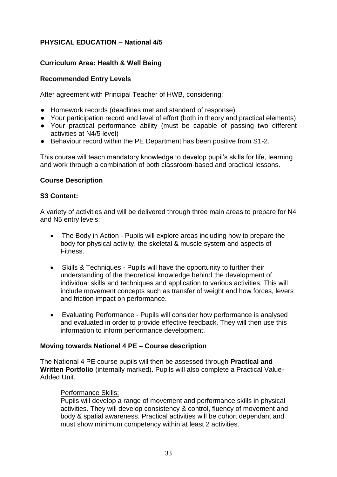# **PHYSICAL EDUCATION – National 4/5**

# **Curriculum Area: Health & Well Being**

# **Recommended Entry Levels**

After agreement with Principal Teacher of HWB, considering:

- Homework records (deadlines met and standard of response)
- Your participation record and level of effort (both in theory and practical elements)
- Your practical performance ability (must be capable of passing two different activities at N4/5 level)
- Behaviour record within the PE Department has been positive from S1-2.

This course will teach mandatory knowledge to develop pupil's skills for life, learning and work through a combination of both classroom-based and practical lessons.

## **Course Description**

#### **S3 Content:**

A variety of activities and will be delivered through three main areas to prepare for N4 and N5 entry levels:

- The Body in Action Pupils will explore areas including how to prepare the body for physical activity, the skeletal & muscle system and aspects of Fitness.
- Skills & Techniques Pupils will have the opportunity to further their understanding of the theoretical knowledge behind the development of individual skills and techniques and application to various activities. This will include movement concepts such as transfer of weight and how forces, levers and friction impact on performance.
- Evaluating Performance Pupils will consider how performance is analysed and evaluated in order to provide effective feedback. They will then use this information to inform performance development.

## **Moving towards National 4 PE – Course description**

The National 4 PE course pupils will then be assessed through **Practical and Written Portfolio** (internally marked). Pupils will also complete a Practical Value-Added Unit.

## Performance Skills:

Pupils will develop a range of movement and performance skills in physical activities. They will develop consistency & control, fluency of movement and body & spatial awareness. Practical activities will be cohort dependant and must show minimum competency within at least 2 activities.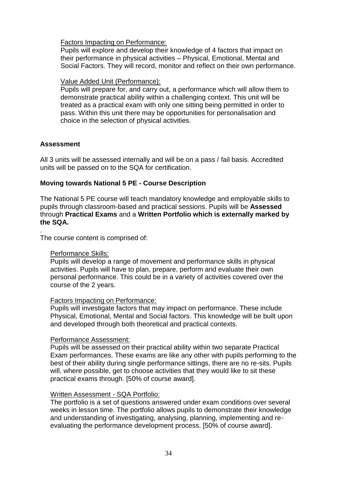Factors Impacting on Performance:

Pupils will explore and develop their knowledge of 4 factors that impact on their performance in physical activities – Physical, Emotional, Mental and Social Factors. They will record, monitor and reflect on their own performance.

# Value Added Unit (Performance):

Pupils will prepare for, and carry out, a performance which will allow them to demonstrate practical ability within a challenging context. This unit will be treated as a practical exam with only one sitting being permitted in order to pass. Within this unit there may be opportunities for personalisation and choice in the selection of physical activities.

# **Assessment**

All 3 units will be assessed internally and will be on a pass / fail basis. Accredited units will be passed on to the SQA for certification.

# **Moving towards National 5 PE - Course Description**

The National 5 PE course will teach mandatory knowledge and employable skills to pupils through classroom-based and practical sessions. Pupils will be **Assessed** through **Practical Exams** and a **Written Portfolio which is externally marked by the SQA.**

. The course content is comprised of:

# Performance Skills:

Pupils will develop a range of movement and performance skills in physical activities. Pupils will have to plan, prepare, perform and evaluate their own personal performance. This could be in a variety of activities covered over the course of the 2 years.

# Factors Impacting on Performance:

Pupils will investigate factors that may impact on performance. These include Physical, Emotional, Mental and Social factors. This knowledge will be built upon and developed through both theoretical and practical contexts.

# Performance Assessment:

Pupils will be assessed on their practical ability within two separate Practical Exam performances. These exams are like any other with pupils performing to the best of their ability during single performance sittings, there are no re-sits. Pupils will, where possible, get to choose activities that they would like to sit these practical exams through. [50% of course award].

## Written Assessment - SQA Portfolio:

The portfolio is a set of questions answered under exam conditions over several weeks in lesson time. The portfolio allows pupils to demonstrate their knowledge and understanding of investigating, analysing, planning, implementing and reevaluating the performance development process. [50% of course award].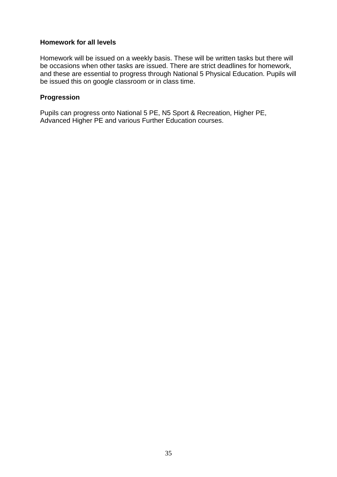## **Homework for all levels**

Homework will be issued on a weekly basis. These will be written tasks but there will be occasions when other tasks are issued. There are strict deadlines for homework, and these are essential to progress through National 5 Physical Education. Pupils will be issued this on google classroom or in class time.

## **Progression**

Pupils can progress onto National 5 PE, N5 Sport & Recreation, Higher PE, Advanced Higher PE and various Further Education courses.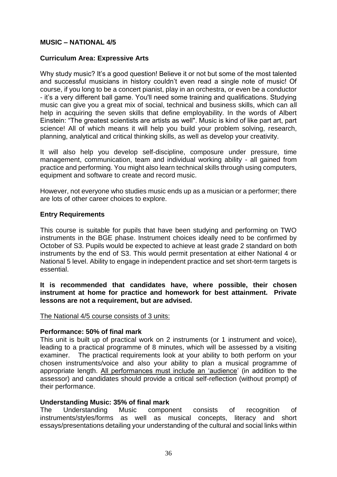# **MUSIC – NATIONAL 4/5**

## **Curriculum Area: Expressive Arts**

Why study music? It's a good question! Believe it or not but some of the most talented and successful musicians in history couldn't even read a single note of music! Of course, if you long to be a concert pianist, play in an orchestra, or even be a conductor - it's a very different ball game. You'll need some training and qualifications. Studying music can give you a great mix of social, technical and business skills, which can all help in acquiring the seven skills that define employability. In the words of Albert Einstein: "The greatest scientists are artists as well". Music is kind of like part art, part science! All of which means it will help you build your problem solving, research, planning, analytical and critical thinking skills, as well as develop your creativity.

It will also help you develop self-discipline, composure under pressure, time management, communication, team and individual working ability - all gained from practice and performing. You might also learn technical skills through using computers, equipment and software to create and record music.

However, not everyone who studies music ends up as a musician or a performer; there are lots of other career choices to explore.

## **Entry Requirements**

This course is suitable for pupils that have been studying and performing on TWO instruments in the BGE phase. Instrument choices ideally need to be confirmed by October of S3. Pupils would be expected to achieve at least grade 2 standard on both instruments by the end of S3. This would permit presentation at either National 4 or National 5 level. Ability to engage in independent practice and set short-term targets is essential.

**It is recommended that candidates have, where possible, their chosen instrument at home for practice and homework for best attainment. Private lessons are not a requirement, but are advised.**

The National 4/5 course consists of 3 units:

## **Performance: 50% of final mark**

This unit is built up of practical work on 2 instruments (or 1 instrument and voice), leading to a practical programme of 8 minutes, which will be assessed by a visiting examiner. The practical requirements look at your ability to both perform on your chosen instruments/voice and also your ability to plan a musical programme of appropriate length. All performances must include an 'audience' (in addition to the assessor) and candidates should provide a critical self-reflection (without prompt) of their performance.

# **Understanding Music: 35% of final mark**

The Understanding Music component consists of recognition of instruments/styles/forms as well as musical concepts, literacy and short essays/presentations detailing your understanding of the cultural and social links within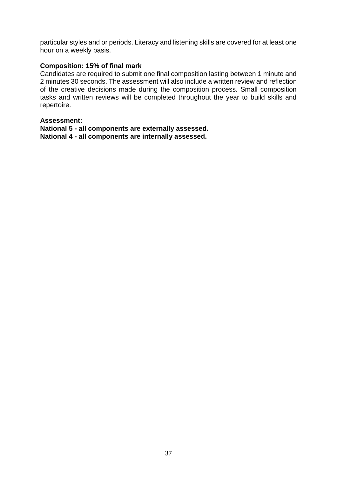particular styles and or periods. Literacy and listening skills are covered for at least one hour on a weekly basis.

#### **Composition: 15% of final mark**

Candidates are required to submit one final composition lasting between 1 minute and 2 minutes 30 seconds. The assessment will also include a written review and reflection of the creative decisions made during the composition process. Small composition tasks and written reviews will be completed throughout the year to build skills and repertoire.

#### **Assessment:**

**National 5 - all components are externally assessed. National 4 - all components are internally assessed.**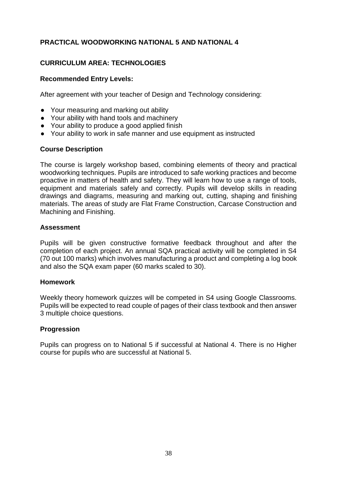# **PRACTICAL WOODWORKING NATIONAL 5 AND NATIONAL 4**

# **CURRICULUM AREA: TECHNOLOGIES**

# **Recommended Entry Levels:**

After agreement with your teacher of Design and Technology considering:

- Your measuring and marking out ability
- Your ability with hand tools and machinery
- Your ability to produce a good applied finish
- Your ability to work in safe manner and use equipment as instructed

## **Course Description**

The course is largely workshop based, combining elements of theory and practical woodworking techniques. Pupils are introduced to safe working practices and become proactive in matters of health and safety. They will learn how to use a range of tools, equipment and materials safely and correctly. Pupils will develop skills in reading drawings and diagrams, measuring and marking out, cutting, shaping and finishing materials. The areas of study are Flat Frame Construction, Carcase Construction and Machining and Finishing.

## **Assessment**

Pupils will be given constructive formative feedback throughout and after the completion of each project. An annual SQA practical activity will be completed in S4 (70 out 100 marks) which involves manufacturing a product and completing a log book and also the SQA exam paper (60 marks scaled to 30).

## **Homework**

Weekly theory homework quizzes will be competed in S4 using Google Classrooms. Pupils will be expected to read couple of pages of their class textbook and then answer 3 multiple choice questions.

## **Progression**

Pupils can progress on to National 5 if successful at National 4. There is no Higher course for pupils who are successful at National 5.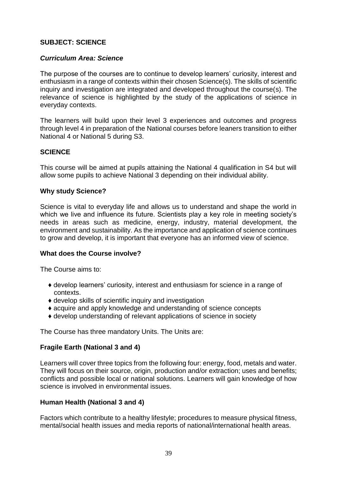# **SUBJECT: SCIENCE**

## *Curriculum Area: Science*

The purpose of the courses are to continue to develop learners' curiosity, interest and enthusiasm in a range of contexts within their chosen Science(s). The skills of scientific inquiry and investigation are integrated and developed throughout the course(s). The relevance of science is highlighted by the study of the applications of science in everyday contexts.

The learners will build upon their level 3 experiences and outcomes and progress through level 4 in preparation of the National courses before leaners transition to either National 4 or National 5 during S3.

#### **SCIENCE**

This course will be aimed at pupils attaining the National 4 qualification in S4 but will allow some pupils to achieve National 3 depending on their individual ability.

#### **Why study Science?**

Science is vital to everyday life and allows us to understand and shape the world in which we live and influence its future. Scientists play a key role in meeting society's needs in areas such as medicine, energy, industry, material development, the environment and sustainability. As the importance and application of science continues to grow and develop, it is important that everyone has an informed view of science.

#### **What does the Course involve?**

The Course aims to:

- ♦ develop learners' curiosity, interest and enthusiasm for science in a range of contexts.
- ♦ develop skills of scientific inquiry and investigation
- ♦ acquire and apply knowledge and understanding of science concepts
- ♦ develop understanding of relevant applications of science in society

The Course has three mandatory Units. The Units are:

## **Fragile Earth (National 3 and 4)**

Learners will cover three topics from the following four: energy, food, metals and water. They will focus on their source, origin, production and/or extraction; uses and benefits; conflicts and possible local or national solutions. Learners will gain knowledge of how science is involved in environmental issues.

## **Human Health (National 3 and 4)**

Factors which contribute to a healthy lifestyle; procedures to measure physical fitness, mental/social health issues and media reports of national/international health areas.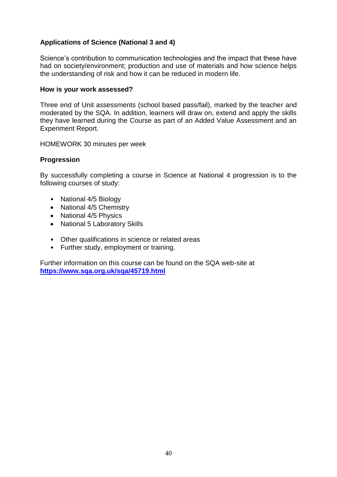# **Applications of Science (National 3 and 4)**

Science's contribution to communication technologies and the impact that these have had on society/environment; production and use of materials and how science helps the understanding of risk and how it can be reduced in modern life.

## **How is your work assessed?**

Three end of Unit assessments (school based pass/fail), marked by the teacher and moderated by the SQA. In addition, learners will draw on, extend and apply the skills they have learned during the Course as part of an Added Value Assessment and an Experiment Report.

HOMEWORK 30 minutes per week

## **Progression**

By successfully completing a course in Science at National 4 progression is to the following courses of study:

- National 4/5 Biology
- National 4/5 Chemistry
- National 4/5 Physics
- National 5 Laboratory Skills
- Other qualifications in science or related areas
- Further study, employment or training.

Further information on this course can be found on the SQA web-site at **<https://www.sqa.org.uk/sqa/45719.html>**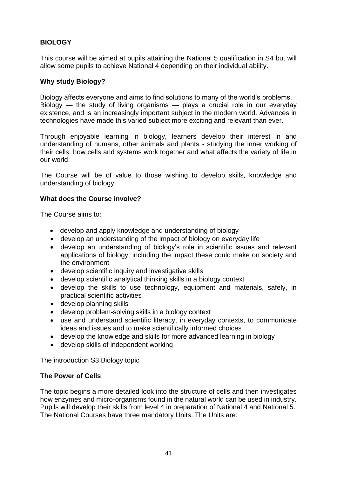# **BIOLOGY**

This course will be aimed at pupils attaining the National 5 qualification in S4 but will allow some pupils to achieve National 4 depending on their individual ability.

## **Why study Biology?**

Biology affects everyone and aims to find solutions to many of the world's problems. Biology — the study of living organisms — plays a crucial role in our everyday existence, and is an increasingly important subject in the modern world. Advances in technologies have made this varied subject more exciting and relevant than ever.

Through enjoyable learning in biology, learners develop their interest in and understanding of humans, other animals and plants - studying the inner working of their cells, how cells and systems work together and what affects the variety of life in our world.

The Course will be of value to those wishing to develop skills, knowledge and understanding of biology.

## **What does the Course involve?**

The Course aims to:

- develop and apply knowledge and understanding of biology
- develop an understanding of the impact of biology on everyday life
- develop an understanding of biology's role in scientific issues and relevant applications of biology, including the impact these could make on society and the environment
- develop scientific inquiry and investigative skills
- develop scientific analytical thinking skills in a biology context
- develop the skills to use technology, equipment and materials, safely, in practical scientific activities
- develop planning skills
- develop problem-solving skills in a biology context
- use and understand scientific literacy, in everyday contexts, to communicate ideas and issues and to make scientifically informed choices
- develop the knowledge and skills for more advanced learning in biology
- develop skills of independent working

The introduction S3 Biology topic

## **The Power of Cells**

The topic begins a more detailed look into the structure of cells and then investigates how enzymes and micro-organisms found in the natural world can be used in industry. Pupils will develop their skills from level 4 in preparation of National 4 and National 5. The National Courses have three mandatory Units. The Units are: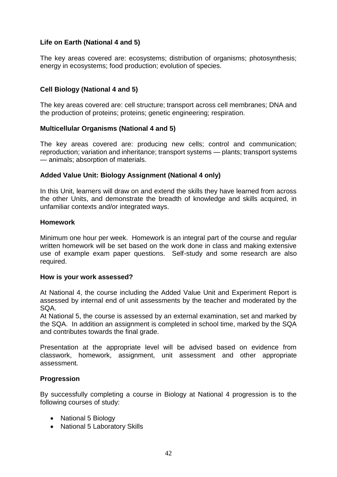# **Life on Earth (National 4 and 5)**

The key areas covered are: ecosystems; distribution of organisms; photosynthesis; energy in ecosystems; food production; evolution of species.

# **Cell Biology (National 4 and 5)**

The key areas covered are: cell structure; transport across cell membranes; DNA and the production of proteins; proteins; genetic engineering; respiration.

## **Multicellular Organisms (National 4 and 5)**

The key areas covered are: producing new cells; control and communication; reproduction; variation and inheritance; transport systems — plants; transport systems — animals; absorption of materials.

## **Added Value Unit: Biology Assignment (National 4 only)**

In this Unit, learners will draw on and extend the skills they have learned from across the other Units, and demonstrate the breadth of knowledge and skills acquired, in unfamiliar contexts and/or integrated ways.

## **Homework**

Minimum one hour per week. Homework is an integral part of the course and regular written homework will be set based on the work done in class and making extensive use of example exam paper questions. Self-study and some research are also required.

#### **How is your work assessed?**

At National 4, the course including the Added Value Unit and Experiment Report is assessed by internal end of unit assessments by the teacher and moderated by the SQA.

At National 5, the course is assessed by an external examination, set and marked by the SQA. In addition an assignment is completed in school time, marked by the SQA and contributes towards the final grade.

Presentation at the appropriate level will be advised based on evidence from classwork, homework, assignment, unit assessment and other appropriate assessment.

## **Progression**

By successfully completing a course in Biology at National 4 progression is to the following courses of study:

- National 5 Biology
- National 5 Laboratory Skills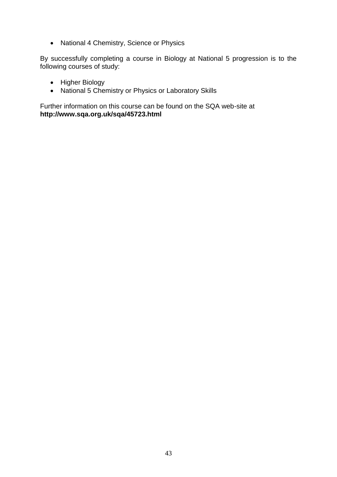• National 4 Chemistry, Science or Physics

By successfully completing a course in Biology at National 5 progression is to the following courses of study:

- Higher Biology
- National 5 Chemistry or Physics or Laboratory Skills

Further information on this course can be found on the SQA web-site at **http://www.sqa.org.uk/sqa/45723.html**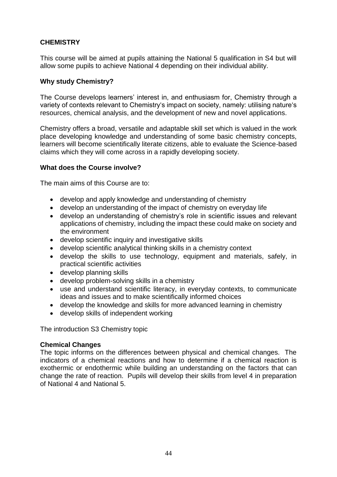# **CHEMISTRY**

This course will be aimed at pupils attaining the National 5 qualification in S4 but will allow some pupils to achieve National 4 depending on their individual ability.

## **Why study Chemistry?**

The Course develops learners' interest in, and enthusiasm for, Chemistry through a variety of contexts relevant to Chemistry's impact on society, namely: utilising nature's resources, chemical analysis, and the development of new and novel applications.

Chemistry offers a broad, versatile and adaptable skill set which is valued in the work place developing knowledge and understanding of some basic chemistry concepts, learners will become scientifically literate citizens, able to evaluate the Science-based claims which they will come across in a rapidly developing society.

## **What does the Course involve?**

The main aims of this Course are to:

- develop and apply knowledge and understanding of chemistry
- develop an understanding of the impact of chemistry on everyday life
- develop an understanding of chemistry's role in scientific issues and relevant applications of chemistry, including the impact these could make on society and the environment
- develop scientific inquiry and investigative skills
- develop scientific analytical thinking skills in a chemistry context
- develop the skills to use technology, equipment and materials, safely, in practical scientific activities
- develop planning skills
- develop problem-solving skills in a chemistry
- use and understand scientific literacy, in everyday contexts, to communicate ideas and issues and to make scientifically informed choices
- develop the knowledge and skills for more advanced learning in chemistry
- develop skills of independent working

The introduction S3 Chemistry topic

## **Chemical Changes**

The topic informs on the differences between physical and chemical changes. The indicators of a chemical reactions and how to determine if a chemical reaction is exothermic or endothermic while building an understanding on the factors that can change the rate of reaction. Pupils will develop their skills from level 4 in preparation of National 4 and National 5.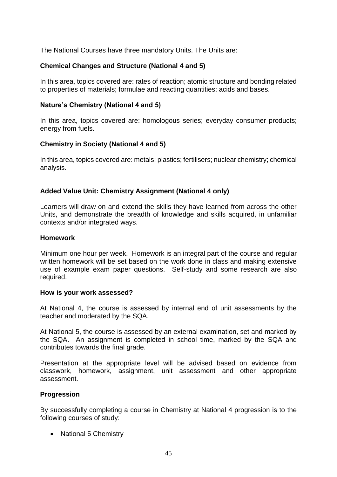The National Courses have three mandatory Units. The Units are:

# **Chemical Changes and Structure (National 4 and 5)**

In this area, topics covered are: rates of reaction; atomic structure and bonding related to properties of materials; formulae and reacting quantities; acids and bases.

## **Nature's Chemistry (National 4 and 5)**

In this area, topics covered are: homologous series; everyday consumer products; energy from fuels.

## **Chemistry in Society (National 4 and 5)**

In this area, topics covered are: metals; plastics; fertilisers; nuclear chemistry; chemical analysis.

## **Added Value Unit: Chemistry Assignment (National 4 only)**

Learners will draw on and extend the skills they have learned from across the other Units, and demonstrate the breadth of knowledge and skills acquired, in unfamiliar contexts and/or integrated ways.

#### **Homework**

Minimum one hour per week. Homework is an integral part of the course and regular written homework will be set based on the work done in class and making extensive use of example exam paper questions. Self-study and some research are also required.

#### **How is your work assessed?**

At National 4, the course is assessed by internal end of unit assessments by the teacher and moderated by the SQA.

At National 5, the course is assessed by an external examination, set and marked by the SQA. An assignment is completed in school time, marked by the SQA and contributes towards the final grade.

Presentation at the appropriate level will be advised based on evidence from classwork, homework, assignment, unit assessment and other appropriate assessment.

## **Progression**

By successfully completing a course in Chemistry at National 4 progression is to the following courses of study:

• National 5 Chemistry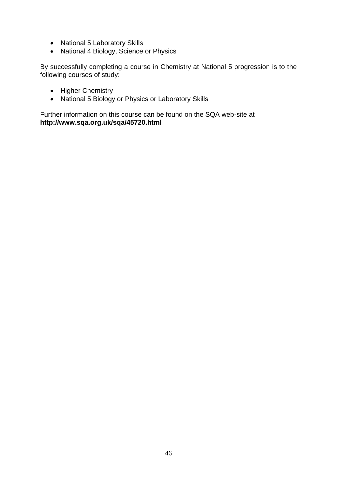- National 5 Laboratory Skills
- National 4 Biology, Science or Physics

By successfully completing a course in Chemistry at National 5 progression is to the following courses of study:

- Higher Chemistry
- National 5 Biology or Physics or Laboratory Skills

Further information on this course can be found on the SQA web-site at **http://www.sqa.org.uk/sqa/45720.html**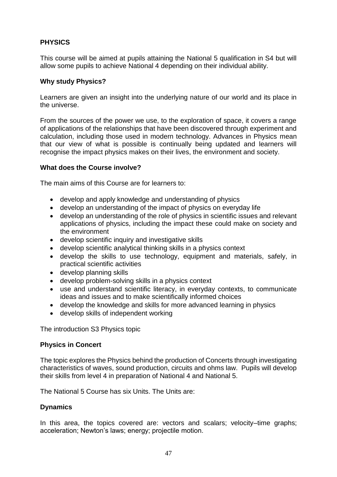# **PHYSICS**

This course will be aimed at pupils attaining the National 5 qualification in S4 but will allow some pupils to achieve National 4 depending on their individual ability.

## **Why study Physics?**

Learners are given an insight into the underlying nature of our world and its place in the universe.

From the sources of the power we use, to the exploration of space, it covers a range of applications of the relationships that have been discovered through experiment and calculation, including those used in modern technology. Advances in Physics mean that our view of what is possible is continually being updated and learners will recognise the impact physics makes on their lives, the environment and society.

## **What does the Course involve?**

The main aims of this Course are for learners to:

- develop and apply knowledge and understanding of physics
- develop an understanding of the impact of physics on everyday life
- develop an understanding of the role of physics in scientific issues and relevant applications of physics, including the impact these could make on society and the environment
- develop scientific inquiry and investigative skills
- develop scientific analytical thinking skills in a physics context
- develop the skills to use technology, equipment and materials, safely, in practical scientific activities
- develop planning skills
- develop problem-solving skills in a physics context
- use and understand scientific literacy, in everyday contexts, to communicate ideas and issues and to make scientifically informed choices
- develop the knowledge and skills for more advanced learning in physics
- develop skills of independent working

The introduction S3 Physics topic

## **Physics in Concert**

The topic explores the Physics behind the production of Concerts through investigating characteristics of waves, sound production, circuits and ohms law. Pupils will develop their skills from level 4 in preparation of National 4 and National 5.

The National 5 Course has six Units. The Units are:

## **Dynamics**

In this area, the topics covered are: vectors and scalars; velocity–time graphs; acceleration; Newton's laws; energy; projectile motion.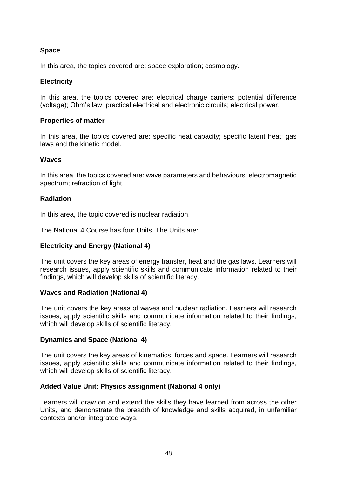# **Space**

In this area, the topics covered are: space exploration; cosmology.

# **Electricity**

In this area, the topics covered are: electrical charge carriers; potential difference (voltage); Ohm's law; practical electrical and electronic circuits; electrical power.

## **Properties of matter**

In this area, the topics covered are: specific heat capacity; specific latent heat; gas laws and the kinetic model.

## **Waves**

In this area, the topics covered are: wave parameters and behaviours; electromagnetic spectrum; refraction of light.

## **Radiation**

In this area, the topic covered is nuclear radiation.

The National 4 Course has four Units. The Units are:

## **Electricity and Energy (National 4)**

The unit covers the key areas of energy transfer, heat and the gas laws. Learners will research issues, apply scientific skills and communicate information related to their findings, which will develop skills of scientific literacy.

## **Waves and Radiation (National 4)**

The unit covers the key areas of waves and nuclear radiation. Learners will research issues, apply scientific skills and communicate information related to their findings, which will develop skills of scientific literacy.

## **Dynamics and Space (National 4)**

The unit covers the key areas of kinematics, forces and space. Learners will research issues, apply scientific skills and communicate information related to their findings, which will develop skills of scientific literacy.

## **Added Value Unit: Physics assignment (National 4 only)**

Learners will draw on and extend the skills they have learned from across the other Units, and demonstrate the breadth of knowledge and skills acquired, in unfamiliar contexts and/or integrated ways.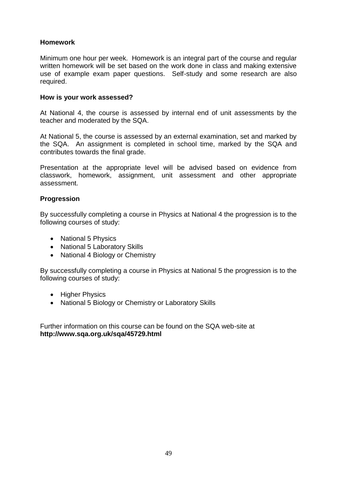# **Homework**

Minimum one hour per week. Homework is an integral part of the course and regular written homework will be set based on the work done in class and making extensive use of example exam paper questions. Self-study and some research are also required.

## **How is your work assessed?**

At National 4, the course is assessed by internal end of unit assessments by the teacher and moderated by the SQA.

At National 5, the course is assessed by an external examination, set and marked by the SQA. An assignment is completed in school time, marked by the SQA and contributes towards the final grade.

Presentation at the appropriate level will be advised based on evidence from classwork, homework, assignment, unit assessment and other appropriate assessment.

## **Progression**

By successfully completing a course in Physics at National 4 the progression is to the following courses of study:

- National 5 Physics
- National 5 Laboratory Skills
- National 4 Biology or Chemistry

By successfully completing a course in Physics at National 5 the progression is to the following courses of study:

- Higher Physics
- National 5 Biology or Chemistry or Laboratory Skills

Further information on this course can be found on the SQA web-site at **http://www.sqa.org.uk/sqa/45729.html**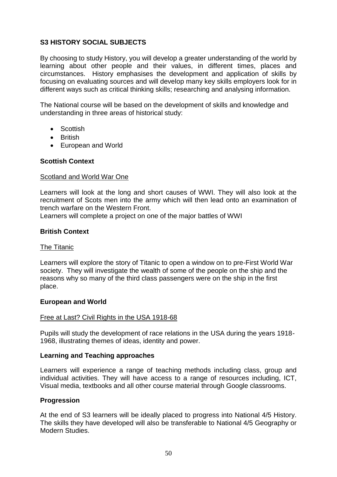# **S3 HISTORY SOCIAL SUBJECTS**

By choosing to study History, you will develop a greater understanding of the world by learning about other people and their values, in different times, places and circumstances. History emphasises the development and application of skills by focusing on evaluating sources and will develop many key skills employers look for in different ways such as critical thinking skills; researching and analysing information.

The National course will be based on the development of skills and knowledge and understanding in three areas of historical study:

- Scottish
- **•** British
- European and World

## **Scottish Context**

#### Scotland and World War One

Learners will look at the long and short causes of WWI. They will also look at the recruitment of Scots men into the army which will then lead onto an examination of trench warfare on the Western Front.

Learners will complete a project on one of the major battles of WWI

## **British Context**

#### The Titanic

Learners will explore the story of Titanic to open a window on to pre-First World War society. They will investigate the wealth of some of the people on the ship and the reasons why so many of the third class passengers were on the ship in the first place.

#### **European and World**

#### Free at Last? Civil Rights in the USA 1918-68

Pupils will study the development of race relations in the USA during the years 1918- 1968, illustrating themes of ideas, identity and power.

#### **Learning and Teaching approaches**

Learners will experience a range of teaching methods including class, group and individual activities. They will have access to a range of resources including, ICT, Visual media, textbooks and all other course material through Google classrooms.

#### **Progression**

At the end of S3 learners will be ideally placed to progress into National 4/5 History. The skills they have developed will also be transferable to National 4/5 Geography or Modern Studies.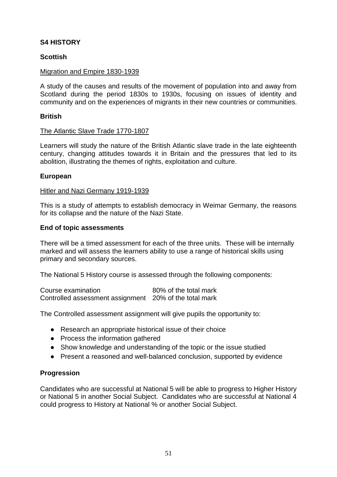# **S4 HISTORY**

# **Scottish**

## Migration and Empire 1830-1939

A study of the causes and results of the movement of population into and away from Scotland during the period 1830s to 1930s, focusing on issues of identity and community and on the experiences of migrants in their new countries or communities.

## **British**

#### The Atlantic Slave Trade 1770-1807

Learners will study the nature of the British Atlantic slave trade in the late eighteenth century, changing attitudes towards it in Britain and the pressures that led to its abolition, illustrating the themes of rights, exploitation and culture.

#### **European**

#### Hitler and Nazi Germany 1919-1939

This is a study of attempts to establish democracy in Weimar Germany, the reasons for its collapse and the nature of the Nazi State.

#### **End of topic assessments**

There will be a timed assessment for each of the three units. These will be internally marked and will assess the learners ability to use a range of historical skills using primary and secondary sources.

The National 5 History course is assessed through the following components:

| Course examination                                     | 80% of the total mark |
|--------------------------------------------------------|-----------------------|
| Controlled assessment assignment 20% of the total mark |                       |

The Controlled assessment assignment will give pupils the opportunity to:

- Research an appropriate historical issue of their choice
- Process the information gathered
- Show knowledge and understanding of the topic or the issue studied
- Present a reasoned and well-balanced conclusion, supported by evidence

## **Progression**

Candidates who are successful at National 5 will be able to progress to Higher History or National 5 in another Social Subject. Candidates who are successful at National 4 could progress to History at National % or another Social Subject.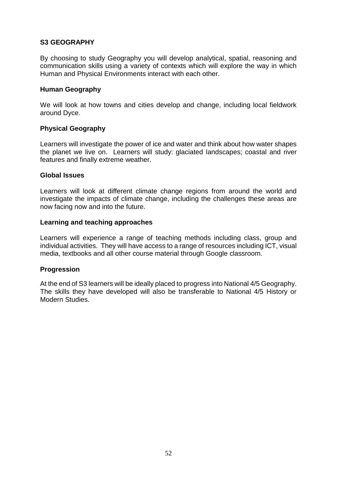# **S3 GEOGRAPHY**

By choosing to study Geography you will develop analytical, spatial, reasoning and communication skills using a variety of contexts which will explore the way in which Human and Physical Environments interact with each other.

## **Human Geography**

We will look at how towns and cities develop and change, including local fieldwork around Dyce.

## **Physical Geography**

Learners will investigate the power of ice and water and think about how water shapes the planet we live on. Learners will study: glaciated landscapes; coastal and river features and finally extreme weather.

## **Global Issues**

Learners will look at different climate change regions from around the world and investigate the impacts of climate change, including the challenges these areas are now facing now and into the future.

## **Learning and teaching approaches**

Learners will experience a range of teaching methods including class, group and individual activities. They will have access to a range of resources including ICT, visual media, textbooks and all other course material through Google classroom.

## **Progression**

At the end of S3 learners will be ideally placed to progress into National 4/5 Geography. The skills they have developed will also be transferable to National 4/5 History or Modern Studies.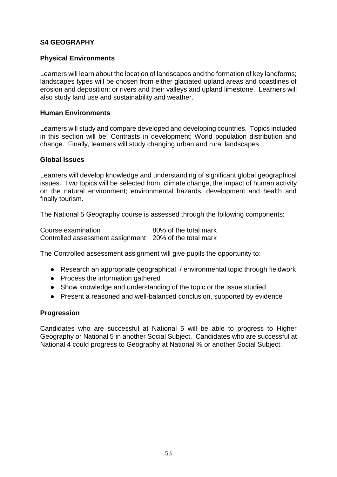# **S4 GEOGRAPHY**

## **Physical Environments**

Learners will learn about the location of landscapes and the formation of key landforms; landscapes types will be chosen from either glaciated upland areas and coastlines of erosion and deposition; or rivers and their valleys and upland limestone. Learners will also study land use and sustainability and weather.

## **Human Environments**

Learners will study and compare developed and developing countries. Topics included in this section will be; Contrasts in development; World population distribution and change. Finally, learners will study changing urban and rural landscapes.

#### **Global Issues**

Learners will develop knowledge and understanding of significant global geographical issues. Two topics will be selected from; climate change, the impact of human activity on the natural environment; environmental hazards, development and health and finally tourism.

The National 5 Geography course is assessed through the following components:

| Course examination                                     | 80% of the total mark |
|--------------------------------------------------------|-----------------------|
| Controlled assessment assignment 20% of the total mark |                       |

The Controlled assessment assignment will give pupils the opportunity to:

- Research an appropriate geographical / environmental topic through fieldwork
- Process the information gathered
- Show knowledge and understanding of the topic or the issue studied
- Present a reasoned and well-balanced conclusion, supported by evidence

#### **Progression**

Candidates who are successful at National 5 will be able to progress to Higher Geography or National 5 in another Social Subject. Candidates who are successful at National 4 could progress to Geography at National % or another Social Subject.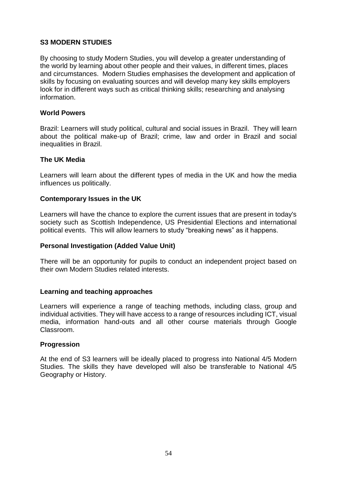# **S3 MODERN STUDIES**

By choosing to study Modern Studies, you will develop a greater understanding of the world by learning about other people and their values, in different times, places and circumstances. Modern Studies emphasises the development and application of skills by focusing on evaluating sources and will develop many key skills employers look for in different ways such as critical thinking skills; researching and analysing information.

## **World Powers**

Brazil: Learners will study political, cultural and social issues in Brazil. They will learn about the political make-up of Brazil; crime, law and order in Brazil and social inequalities in Brazil.

## **The UK Media**

Learners will learn about the different types of media in the UK and how the media influences us politically.

## **Contemporary Issues in the UK**

Learners will have the chance to explore the current issues that are present in today's society such as Scottish Independence, US Presidential Elections and international political events. This will allow learners to study "breaking news" as it happens.

# **Personal Investigation (Added Value Unit)**

There will be an opportunity for pupils to conduct an independent project based on their own Modern Studies related interests.

## **Learning and teaching approaches**

Learners will experience a range of teaching methods, including class, group and individual activities. They will have access to a range of resources including ICT, visual media, information hand-outs and all other course materials through Google Classroom.

## **Progression**

At the end of S3 learners will be ideally placed to progress into National 4/5 Modern Studies. The skills they have developed will also be transferable to National 4/5 Geography or History.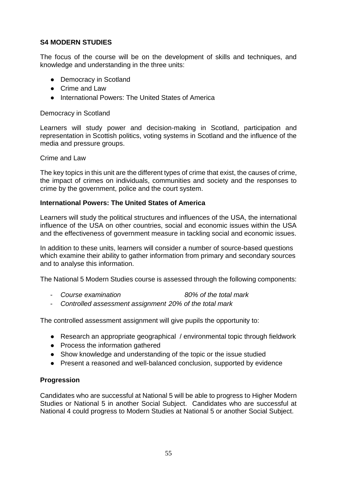# **S4 MODERN STUDIES**

The focus of the course will be on the development of skills and techniques, and knowledge and understanding in the three units:

- Democracy in Scotland
- Crime and Law
- International Powers: The United States of America

## Democracy in Scotland

Learners will study power and decision-making in Scotland, participation and representation in Scottish politics, voting systems in Scotland and the influence of the media and pressure groups.

#### Crime and Law

The key topics in this unit are the different types of crime that exist, the causes of crime, the impact of crimes on individuals, communities and society and the responses to crime by the government, police and the court system.

## **International Powers: The United States of America**

Learners will study the political structures and influences of the USA, the international influence of the USA on other countries, social and economic issues within the USA and the effectiveness of government measure in tackling social and economic issues.

In addition to these units, learners will consider a number of source-based questions which examine their ability to gather information from primary and secondary sources and to analyse this information.

The National 5 Modern Studies course is assessed through the following components:

- *Course examination 80% of the total mark*
- *Controlled assessment assignment 20% of the total mark*

The controlled assessment assignment will give pupils the opportunity to:

- Research an appropriate geographical / environmental topic through fieldwork
- Process the information gathered
- Show knowledge and understanding of the topic or the issue studied
- Present a reasoned and well-balanced conclusion, supported by evidence

## **Progression**

Candidates who are successful at National 5 will be able to progress to Higher Modern Studies or National 5 in another Social Subject. Candidates who are successful at National 4 could progress to Modern Studies at National 5 or another Social Subject.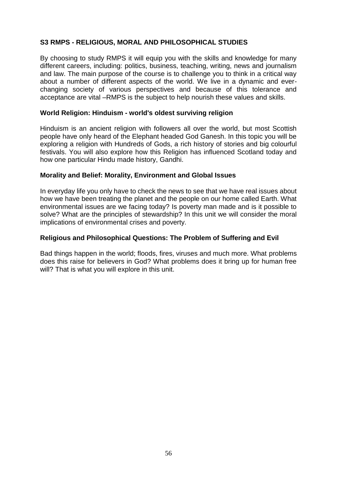# **S3 RMPS - RELIGIOUS, MORAL AND PHILOSOPHICAL STUDIES**

By choosing to study RMPS it will equip you with the skills and knowledge for many different careers, including: politics, business, teaching, writing, news and journalism and law. The main purpose of the course is to challenge you to think in a critical way about a number of different aspects of the world. We live in a dynamic and everchanging society of various perspectives and because of this tolerance and acceptance are vital –RMPS is the subject to help nourish these values and skills.

## **World Religion: Hinduism - world's oldest surviving religion**

Hinduism is an ancient religion with followers all over the world, but most Scottish people have only heard of the Elephant headed God Ganesh. In this topic you will be exploring a religion with Hundreds of Gods, a rich history of stories and big colourful festivals. You will also explore how this Religion has influenced Scotland today and how one particular Hindu made history, Gandhi.

#### **Morality and Belief: Morality, Environment and Global Issues**

In everyday life you only have to check the news to see that we have real issues about how we have been treating the planet and the people on our home called Earth. What environmental issues are we facing today? Is poverty man made and is it possible to solve? What are the principles of stewardship? In this unit we will consider the moral implications of environmental crises and poverty.

## **Religious and Philosophical Questions: The Problem of Suffering and Evil**

Bad things happen in the world; floods, fires, viruses and much more. What problems does this raise for believers in God? What problems does it bring up for human free will? That is what you will explore in this unit.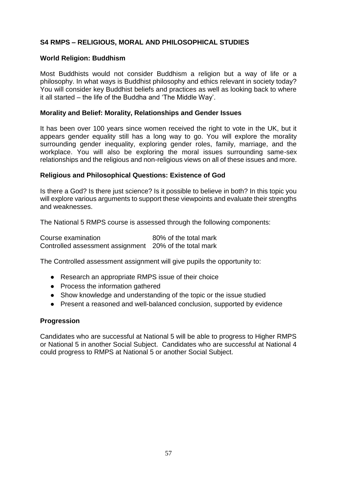# **S4 RMPS – RELIGIOUS, MORAL AND PHILOSOPHICAL STUDIES**

## **World Religion: Buddhism**

Most Buddhists would not consider Buddhism a religion but a way of life or a philosophy. In what ways is Buddhist philosophy and ethics relevant in society today? You will consider key Buddhist beliefs and practices as well as looking back to where it all started – the life of the Buddha and 'The Middle Way'.

#### **Morality and Belief: Morality, Relationships and Gender Issues**

It has been over 100 years since women received the right to vote in the UK, but it appears gender equality still has a long way to go. You will explore the morality surrounding gender inequality, exploring gender roles, family, marriage, and the workplace. You will also be exploring the moral issues surrounding same-sex relationships and the religious and non-religious views on all of these issues and more.

#### **Religious and Philosophical Questions: Existence of God**

Is there a God? Is there just science? Is it possible to believe in both? In this topic you will explore various arguments to support these viewpoints and evaluate their strengths and weaknesses.

The National 5 RMPS course is assessed through the following components:

| Course examination                                     | 80% of the total mark |
|--------------------------------------------------------|-----------------------|
| Controlled assessment assignment 20% of the total mark |                       |

The Controlled assessment assignment will give pupils the opportunity to:

- Research an appropriate RMPS issue of their choice
- Process the information gathered
- Show knowledge and understanding of the topic or the issue studied
- Present a reasoned and well-balanced conclusion, supported by evidence

#### **Progression**

Candidates who are successful at National 5 will be able to progress to Higher RMPS or National 5 in another Social Subject. Candidates who are successful at National 4 could progress to RMPS at National 5 or another Social Subject.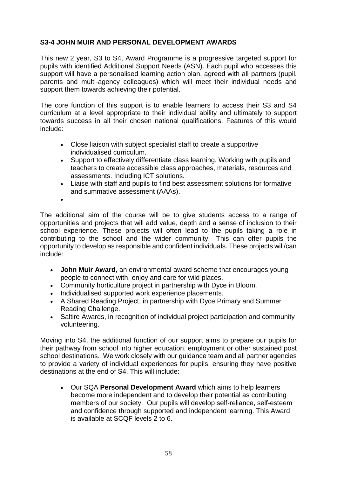# **S3-4 JOHN MUIR AND PERSONAL DEVELOPMENT AWARDS**

This new 2 year, S3 to S4, Award Programme is a progressive targeted support for pupils with identified Additional Support Needs (ASN). Each pupil who accesses this support will have a personalised learning action plan, agreed with all partners (pupil, parents and multi-agency colleagues) which will meet their individual needs and support them towards achieving their potential.

The core function of this support is to enable learners to access their S3 and S4 curriculum at a level appropriate to their individual ability and ultimately to support towards success in all their chosen national qualifications. Features of this would include:

- Close liaison with subject specialist staff to create a supportive individualised curriculum.
- Support to effectively differentiate class learning. Working with pupils and teachers to create accessible class approaches, materials, resources and assessments. Including ICT solutions.
- Liaise with staff and pupils to find best assessment solutions for formative and summative assessment (AAAs).
- $\bullet$

The additional aim of the course will be to give students access to a range of opportunities and projects that will add value, depth and a sense of inclusion to their school experience. These projects will often lead to the pupils taking a role in contributing to the school and the wider community. This can offer pupils the opportunity to develop as responsible and confident individuals. These projects will/can include:

- **John Muir Award**, an environmental award scheme that encourages young people to connect with, enjoy and care for wild places.
- Community horticulture project in partnership with Dyce in Bloom.
- Individualised supported work experience placements.
- A Shared Reading Project, in partnership with Dyce Primary and Summer Reading Challenge.
- Saltire Awards, in recognition of individual project participation and community volunteering.

Moving into S4, the additional function of our support aims to prepare our pupils for their pathway from school into higher education, employment or other sustained post school destinations. We work closely with our guidance team and all partner agencies to provide a variety of individual experiences for pupils, ensuring they have positive destinations at the end of S4. This will include:

 Our SQA **Personal Development Award** which aims to help learners become more independent and to develop their potential as contributing members of our society. Our pupils will develop self-reliance, self-esteem and confidence through supported and independent learning. This Award is available at SCQF levels 2 to 6.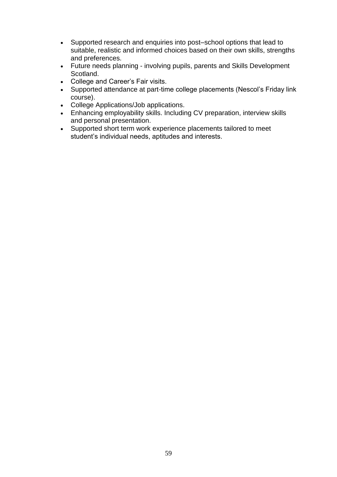- Supported research and enquiries into post–school options that lead to suitable, realistic and informed choices based on their own skills, strengths and preferences.
- Future needs planning involving pupils, parents and Skills Development Scotland.
- College and Career's Fair visits.
- Supported attendance at part-time college placements (Nescol's Friday link course).
- College Applications/Job applications.
- Enhancing employability skills. Including CV preparation, interview skills and personal presentation.
- Supported short term work experience placements tailored to meet student's individual needs, aptitudes and interests.